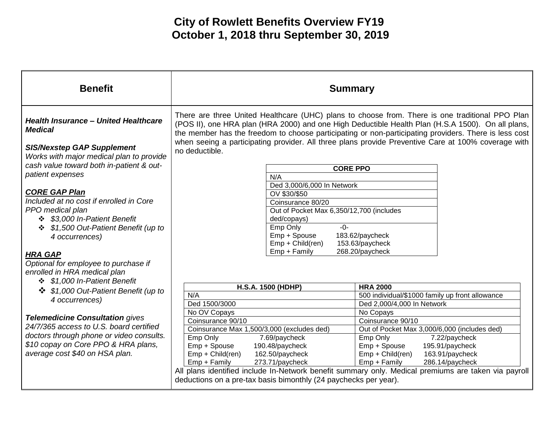| <b>Benefit</b>                                                                                                                                                                                         | <b>Summary</b>                                                                                                                                                                                                                                                                                                                                                                                                                         |                                                              |  |
|--------------------------------------------------------------------------------------------------------------------------------------------------------------------------------------------------------|----------------------------------------------------------------------------------------------------------------------------------------------------------------------------------------------------------------------------------------------------------------------------------------------------------------------------------------------------------------------------------------------------------------------------------------|--------------------------------------------------------------|--|
| <b>Health Insurance - United Healthcare</b><br><b>Medical</b><br><b>SIS/Nexstep GAP Supplement</b><br>Works with major medical plan to provide                                                         | There are three United Healthcare (UHC) plans to choose from. There is one traditional PPO Plan<br>(POS II), one HRA plan (HRA 2000) and one High Deductible Health Plan (H.S.A 1500). On all plans,<br>the member has the freedom to choose participating or non-participating providers. There is less cost<br>when seeing a participating provider. All three plans provide Preventive Care at 100% coverage with<br>no deductible. |                                                              |  |
| cash value toward both in-patient & out-                                                                                                                                                               | <b>CORE PPO</b>                                                                                                                                                                                                                                                                                                                                                                                                                        |                                                              |  |
| patient expenses                                                                                                                                                                                       | N/A                                                                                                                                                                                                                                                                                                                                                                                                                                    |                                                              |  |
|                                                                                                                                                                                                        | Ded 3,000/6,000 In Network                                                                                                                                                                                                                                                                                                                                                                                                             |                                                              |  |
| <b>CORE GAP Plan</b>                                                                                                                                                                                   | OV \$30/\$50                                                                                                                                                                                                                                                                                                                                                                                                                           |                                                              |  |
| Included at no cost if enrolled in Core                                                                                                                                                                | Coinsurance 80/20                                                                                                                                                                                                                                                                                                                                                                                                                      |                                                              |  |
| PPO medical plan                                                                                                                                                                                       | Out of Pocket Max 6,350/12,700 (includes                                                                                                                                                                                                                                                                                                                                                                                               |                                                              |  |
| ❖ \$3,000 In-Patient Benefit                                                                                                                                                                           | ded/copays)                                                                                                                                                                                                                                                                                                                                                                                                                            |                                                              |  |
| ❖ \$1,500 Out-Patient Benefit (up to                                                                                                                                                                   | $-0-$<br>Emp Only                                                                                                                                                                                                                                                                                                                                                                                                                      |                                                              |  |
| 4 occurrences)                                                                                                                                                                                         | Emp + Spouse                                                                                                                                                                                                                                                                                                                                                                                                                           | 183.62/paycheck                                              |  |
|                                                                                                                                                                                                        | Emp + Child(ren)                                                                                                                                                                                                                                                                                                                                                                                                                       | 153.63/paycheck                                              |  |
| <b>HRA GAP</b>                                                                                                                                                                                         | Emp + Family                                                                                                                                                                                                                                                                                                                                                                                                                           | 268.20/paycheck                                              |  |
| Optional for employee to purchase if                                                                                                                                                                   |                                                                                                                                                                                                                                                                                                                                                                                                                                        |                                                              |  |
| enrolled in HRA medical plan                                                                                                                                                                           |                                                                                                                                                                                                                                                                                                                                                                                                                                        |                                                              |  |
| ❖ \$1,000 In-Patient Benefit                                                                                                                                                                           |                                                                                                                                                                                                                                                                                                                                                                                                                                        |                                                              |  |
| \$1,000 Out-Patient Benefit (up to<br>❖                                                                                                                                                                | <b>H.S.A. 1500 (HDHP)</b>                                                                                                                                                                                                                                                                                                                                                                                                              | <b>HRA 2000</b>                                              |  |
| 4 occurrences)                                                                                                                                                                                         | N/A                                                                                                                                                                                                                                                                                                                                                                                                                                    | 500 individual/\$1000 family up front allowance              |  |
|                                                                                                                                                                                                        | Ded 1500/3000                                                                                                                                                                                                                                                                                                                                                                                                                          | Ded 2,000/4,000 In Network                                   |  |
| <b>Telemedicine Consultation gives</b><br>24/7/365 access to U.S. board certified<br>doctors through phone or video consults.<br>\$10 copay on Core PPO & HRA plans,<br>average cost \$40 on HSA plan. | No OV Copays                                                                                                                                                                                                                                                                                                                                                                                                                           | No Copays                                                    |  |
|                                                                                                                                                                                                        | Coinsurance 90/10                                                                                                                                                                                                                                                                                                                                                                                                                      | Coinsurance 90/10                                            |  |
|                                                                                                                                                                                                        | Coinsurance Max 1,500/3,000 (excludes ded)                                                                                                                                                                                                                                                                                                                                                                                             | Out of Pocket Max 3,000/6,000 (includes ded)                 |  |
|                                                                                                                                                                                                        | 7.69/paycheck<br>Emp Only<br>Emp + Spouse<br>190.48/paycheck                                                                                                                                                                                                                                                                                                                                                                           | Emp Only<br>7.22/paycheck<br>Emp + Spouse<br>195.91/paycheck |  |
|                                                                                                                                                                                                        | Emp + Child(ren)<br>162.50/paycheck                                                                                                                                                                                                                                                                                                                                                                                                    | Emp + Child(ren)<br>163.91/paycheck                          |  |
|                                                                                                                                                                                                        | 273.71/paycheck<br>Emp + Family                                                                                                                                                                                                                                                                                                                                                                                                        | Emp + Family<br>286.14/paycheck                              |  |
|                                                                                                                                                                                                        | All plans identified include In-Network benefit summary only. Medical premiums are taken via payroll                                                                                                                                                                                                                                                                                                                                   |                                                              |  |
|                                                                                                                                                                                                        | deductions on a pre-tax basis bimonthly (24 paychecks per year).                                                                                                                                                                                                                                                                                                                                                                       |                                                              |  |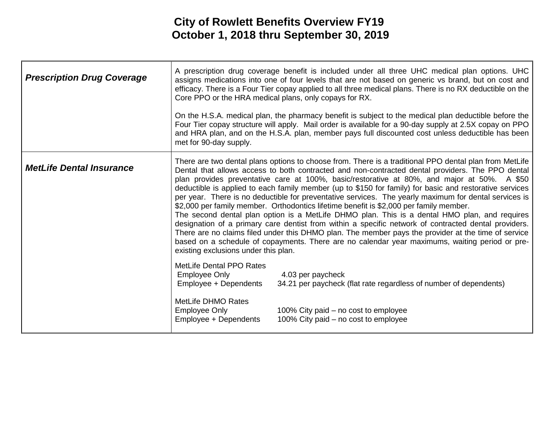| <b>Prescription Drug Coverage</b> |                                                                    | A prescription drug coverage benefit is included under all three UHC medical plan options. UHC<br>assigns medications into one of four levels that are not based on generic vs brand, but on cost and<br>efficacy. There is a Four Tier copay applied to all three medical plans. There is no RX deductible on the<br>Core PPO or the HRA medical plans, only copays for RX.                                                                                                                                                                                                                                                                                                                                                                                                                                                                                                                                                                                                                                                              |
|-----------------------------------|--------------------------------------------------------------------|-------------------------------------------------------------------------------------------------------------------------------------------------------------------------------------------------------------------------------------------------------------------------------------------------------------------------------------------------------------------------------------------------------------------------------------------------------------------------------------------------------------------------------------------------------------------------------------------------------------------------------------------------------------------------------------------------------------------------------------------------------------------------------------------------------------------------------------------------------------------------------------------------------------------------------------------------------------------------------------------------------------------------------------------|
|                                   | met for 90-day supply.                                             | On the H.S.A. medical plan, the pharmacy benefit is subject to the medical plan deductible before the<br>Four Tier copay structure will apply. Mail order is available for a 90-day supply at 2.5X copay on PPO<br>and HRA plan, and on the H.S.A. plan, member pays full discounted cost unless deductible has been                                                                                                                                                                                                                                                                                                                                                                                                                                                                                                                                                                                                                                                                                                                      |
| <b>MetLife Dental Insurance</b>   | existing exclusions under this plan.                               | There are two dental plans options to choose from. There is a traditional PPO dental plan from MetLife<br>Dental that allows access to both contracted and non-contracted dental providers. The PPO dental<br>plan provides preventative care at 100%, basic/restorative at 80%, and major at 50%. A \$50<br>deductible is applied to each family member (up to \$150 for family) for basic and restorative services<br>per year. There is no deductible for preventative services. The yearly maximum for dental services is<br>\$2,000 per family member. Orthodontics lifetime benefit is \$2,000 per family member.<br>The second dental plan option is a MetLife DHMO plan. This is a dental HMO plan, and requires<br>designation of a primary care dentist from within a specific network of contracted dental providers.<br>There are no claims filed under this DHMO plan. The member pays the provider at the time of service<br>based on a schedule of copayments. There are no calendar year maximums, waiting period or pre- |
|                                   | MetLife Dental PPO Rates<br>Employee Only<br>Employee + Dependents | 4.03 per paycheck<br>34.21 per paycheck (flat rate regardless of number of dependents)                                                                                                                                                                                                                                                                                                                                                                                                                                                                                                                                                                                                                                                                                                                                                                                                                                                                                                                                                    |
|                                   | MetLife DHMO Rates<br>Employee Only<br>Employee + Dependents       | 100% City paid – no cost to employee<br>100% City paid – no cost to employee                                                                                                                                                                                                                                                                                                                                                                                                                                                                                                                                                                                                                                                                                                                                                                                                                                                                                                                                                              |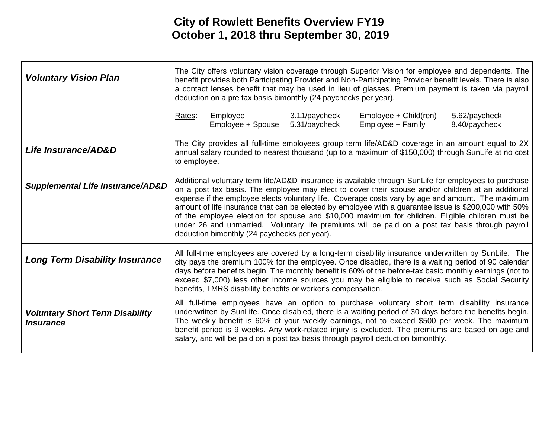| <b>Voluntary Vision Plan</b>                                      | The City offers voluntary vision coverage through Superior Vision for employee and dependents. The<br>benefit provides both Participating Provider and Non-Participating Provider benefit levels. There is also<br>a contact lenses benefit that may be used in lieu of glasses. Premium payment is taken via payroll<br>deduction on a pre tax basis bimonthly (24 paychecks per year).                                                                                                                                                                                                                                                                                         |                                                              |                                |                                                                                                                                                                                                                                                                                                                                                                                                                                                                                                   |                                |
|-------------------------------------------------------------------|----------------------------------------------------------------------------------------------------------------------------------------------------------------------------------------------------------------------------------------------------------------------------------------------------------------------------------------------------------------------------------------------------------------------------------------------------------------------------------------------------------------------------------------------------------------------------------------------------------------------------------------------------------------------------------|--------------------------------------------------------------|--------------------------------|---------------------------------------------------------------------------------------------------------------------------------------------------------------------------------------------------------------------------------------------------------------------------------------------------------------------------------------------------------------------------------------------------------------------------------------------------------------------------------------------------|--------------------------------|
|                                                                   | Rates:                                                                                                                                                                                                                                                                                                                                                                                                                                                                                                                                                                                                                                                                           | Employee<br>Employee + Spouse                                | 3.11/paycheck<br>5.31/paycheck | Employee + Child(ren)<br>Employee + Family                                                                                                                                                                                                                                                                                                                                                                                                                                                        | 5.62/paycheck<br>8.40/paycheck |
| Life Insurance/AD&D                                               | to employee.                                                                                                                                                                                                                                                                                                                                                                                                                                                                                                                                                                                                                                                                     |                                                              |                                | The City provides all full-time employees group term life/AD&D coverage in an amount equal to 2X<br>annual salary rounded to nearest thousand (up to a maximum of \$150,000) through SunLife at no cost                                                                                                                                                                                                                                                                                           |                                |
| <b>Supplemental Life Insurance/AD&amp;D</b>                       | Additional voluntary term life/AD&D insurance is available through SunLife for employees to purchase<br>on a post tax basis. The employee may elect to cover their spouse and/or children at an additional<br>expense if the employee elects voluntary life. Coverage costs vary by age and amount. The maximum<br>amount of life insurance that can be elected by employee with a guarantee issue is \$200,000 with 50%<br>of the employee election for spouse and \$10,000 maximum for children. Eligible children must be<br>under 26 and unmarried. Voluntary life premiums will be paid on a post tax basis through payroll<br>deduction bimonthly (24 paychecks per year). |                                                              |                                |                                                                                                                                                                                                                                                                                                                                                                                                                                                                                                   |                                |
| <b>Long Term Disability Insurance</b>                             |                                                                                                                                                                                                                                                                                                                                                                                                                                                                                                                                                                                                                                                                                  | benefits, TMRS disability benefits or worker's compensation. |                                | All full-time employees are covered by a long-term disability insurance underwritten by SunLife. The<br>city pays the premium 100% for the employee. Once disabled, there is a waiting period of 90 calendar<br>days before benefits begin. The monthly benefit is 60% of the before-tax basic monthly earnings (not to<br>exceed \$7,000) less other income sources you may be eligible to receive such as Social Security                                                                       |                                |
| <b>Voluntary Short Term Disability</b><br><i><b>Insurance</b></i> |                                                                                                                                                                                                                                                                                                                                                                                                                                                                                                                                                                                                                                                                                  |                                                              |                                | All full-time employees have an option to purchase voluntary short term disability insurance<br>underwritten by SunLife. Once disabled, there is a waiting period of 30 days before the benefits begin.<br>The weekly benefit is 60% of your weekly earnings, not to exceed \$500 per week. The maximum<br>benefit period is 9 weeks. Any work-related injury is excluded. The premiums are based on age and<br>salary, and will be paid on a post tax basis through payroll deduction bimonthly. |                                |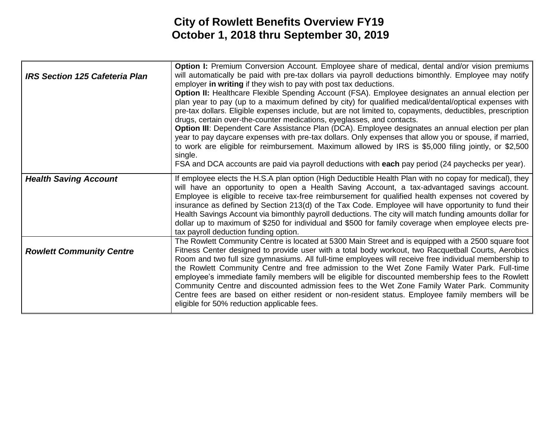| <b>IRS Section 125 Cafeteria Plan</b> | <b>Option I:</b> Premium Conversion Account. Employee share of medical, dental and/or vision premiums<br>will automatically be paid with pre-tax dollars via payroll deductions bimonthly. Employee may notify<br>employer in writing if they wish to pay with post tax deductions.<br>Option II: Healthcare Flexible Spending Account (FSA). Employee designates an annual election per<br>plan year to pay (up to a maximum defined by city) for qualified medical/dental/optical expenses with<br>pre-tax dollars. Eligible expenses include, but are not limited to, copayments, deductibles, prescription<br>drugs, certain over-the-counter medications, eyeglasses, and contacts.<br>Option III: Dependent Care Assistance Plan (DCA). Employee designates an annual election per plan<br>year to pay daycare expenses with pre-tax dollars. Only expenses that allow you or spouse, if married,<br>to work are eligible for reimbursement. Maximum allowed by IRS is \$5,000 filing jointly, or \$2,500<br>single.<br>FSA and DCA accounts are paid via payroll deductions with each pay period (24 paychecks per year). |
|---------------------------------------|----------------------------------------------------------------------------------------------------------------------------------------------------------------------------------------------------------------------------------------------------------------------------------------------------------------------------------------------------------------------------------------------------------------------------------------------------------------------------------------------------------------------------------------------------------------------------------------------------------------------------------------------------------------------------------------------------------------------------------------------------------------------------------------------------------------------------------------------------------------------------------------------------------------------------------------------------------------------------------------------------------------------------------------------------------------------------------------------------------------------------------|
| <b>Health Saving Account</b>          | If employee elects the H.S.A plan option (High Deductible Health Plan with no copay for medical), they<br>will have an opportunity to open a Health Saving Account, a tax-advantaged savings account.<br>Employee is eligible to receive tax-free reimbursement for qualified health expenses not covered by<br>insurance as defined by Section 213(d) of the Tax Code. Employee will have opportunity to fund their<br>Health Savings Account via bimonthly payroll deductions. The city will match funding amounts dollar for<br>dollar up to maximum of \$250 for individual and \$500 for family coverage when employee elects pre-<br>tax payroll deduction funding option.                                                                                                                                                                                                                                                                                                                                                                                                                                                 |
| <b>Rowlett Community Centre</b>       | The Rowlett Community Centre is located at 5300 Main Street and is equipped with a 2500 square foot<br>Fitness Center designed to provide user with a total body workout, two Racquetball Courts, Aerobics<br>Room and two full size gymnasiums. All full-time employees will receive free individual membership to<br>the Rowlett Community Centre and free admission to the Wet Zone Family Water Park. Full-time<br>employee's immediate family members will be eligible for discounted membership fees to the Rowlett<br>Community Centre and discounted admission fees to the Wet Zone Family Water Park. Community<br>Centre fees are based on either resident or non-resident status. Employee family members will be<br>eligible for 50% reduction applicable fees.                                                                                                                                                                                                                                                                                                                                                      |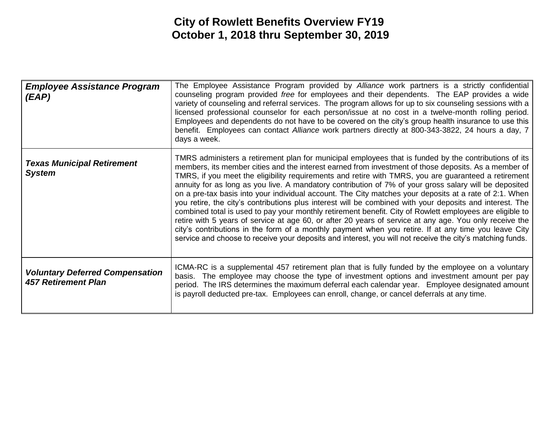| <b>Employee Assistance Program</b><br>(EAP)                          | The Employee Assistance Program provided by Alliance work partners is a strictly confidential<br>counseling program provided free for employees and their dependents. The EAP provides a wide<br>variety of counseling and referral services. The program allows for up to six counseling sessions with a<br>licensed professional counselor for each person/issue at no cost in a twelve-month rolling period.<br>Employees and dependents do not have to be covered on the city's group health insurance to use this<br>benefit. Employees can contact Alliance work partners directly at 800-343-3822, 24 hours a day, 7<br>days a week.                                                                                                                                                                                                                                                                                                                                                                                                                                                       |
|----------------------------------------------------------------------|---------------------------------------------------------------------------------------------------------------------------------------------------------------------------------------------------------------------------------------------------------------------------------------------------------------------------------------------------------------------------------------------------------------------------------------------------------------------------------------------------------------------------------------------------------------------------------------------------------------------------------------------------------------------------------------------------------------------------------------------------------------------------------------------------------------------------------------------------------------------------------------------------------------------------------------------------------------------------------------------------------------------------------------------------------------------------------------------------|
| <b>Texas Municipal Retirement</b><br><b>System</b>                   | TMRS administers a retirement plan for municipal employees that is funded by the contributions of its<br>members, its member cities and the interest earned from investment of those deposits. As a member of<br>TMRS, if you meet the eligibility requirements and retire with TMRS, you are guaranteed a retirement<br>annuity for as long as you live. A mandatory contribution of 7% of your gross salary will be deposited<br>on a pre-tax basis into your individual account. The City matches your deposits at a rate of 2:1. When<br>you retire, the city's contributions plus interest will be combined with your deposits and interest. The<br>combined total is used to pay your monthly retirement benefit. City of Rowlett employees are eligible to<br>retire with 5 years of service at age 60, or after 20 years of service at any age. You only receive the<br>city's contributions in the form of a monthly payment when you retire. If at any time you leave City<br>service and choose to receive your deposits and interest, you will not receive the city's matching funds. |
| <b>Voluntary Deferred Compensation</b><br><b>457 Retirement Plan</b> | ICMA-RC is a supplemental 457 retirement plan that is fully funded by the employee on a voluntary<br>basis. The employee may choose the type of investment options and investment amount per pay<br>period. The IRS determines the maximum deferral each calendar year. Employee designated amount<br>is payroll deducted pre-tax. Employees can enroll, change, or cancel deferrals at any time.                                                                                                                                                                                                                                                                                                                                                                                                                                                                                                                                                                                                                                                                                                 |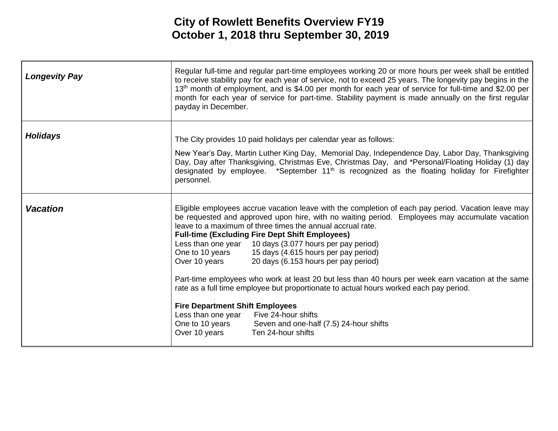| <b>Longevity Pay</b> | Regular full-time and regular part-time employees working 20 or more hours per week shall be entitled<br>to receive stability pay for each year of service, not to exceed 25 years. The longevity pay begins in the<br>13 <sup>th</sup> month of employment, and is \$4.00 per month for each year of service for full-time and \$2.00 per<br>month for each year of service for part-time. Stability payment is made annually on the first regular<br>payday in December.                                                                                                                                                                                                                                                                                                                                                                                                                               |
|----------------------|----------------------------------------------------------------------------------------------------------------------------------------------------------------------------------------------------------------------------------------------------------------------------------------------------------------------------------------------------------------------------------------------------------------------------------------------------------------------------------------------------------------------------------------------------------------------------------------------------------------------------------------------------------------------------------------------------------------------------------------------------------------------------------------------------------------------------------------------------------------------------------------------------------|
| <b>Holidays</b>      | The City provides 10 paid holidays per calendar year as follows:<br>New Year's Day, Martin Luther King Day, Memorial Day, Independence Day, Labor Day, Thanksgiving<br>Day, Day after Thanksgiving, Christmas Eve, Christmas Day, and *Personal/Floating Holiday (1) day<br>designated by employee. *September 11 <sup>th</sup> is recognized as the floating holiday for Firefighter<br>personnel.                                                                                                                                                                                                                                                                                                                                                                                                                                                                                                      |
| <b>Vacation</b>      | Eligible employees accrue vacation leave with the completion of each pay period. Vacation leave may<br>be requested and approved upon hire, with no waiting period. Employees may accumulate vacation<br>leave to a maximum of three times the annual accrual rate.<br><b>Full-time (Excluding Fire Dept Shift Employees)</b><br>Less than one year 10 days (3.077 hours per pay period)<br>15 days (4.615 hours per pay period)<br>One to 10 years<br>Over 10 years<br>20 days (6.153 hours per pay period)<br>Part-time employees who work at least 20 but less than 40 hours per week earn vacation at the same<br>rate as a full time employee but proportionate to actual hours worked each pay period.<br><b>Fire Department Shift Employees</b><br>Less than one year<br>Five 24-hour shifts<br>One to 10 years<br>Seven and one-half (7.5) 24-hour shifts<br>Over 10 years<br>Ten 24-hour shifts |